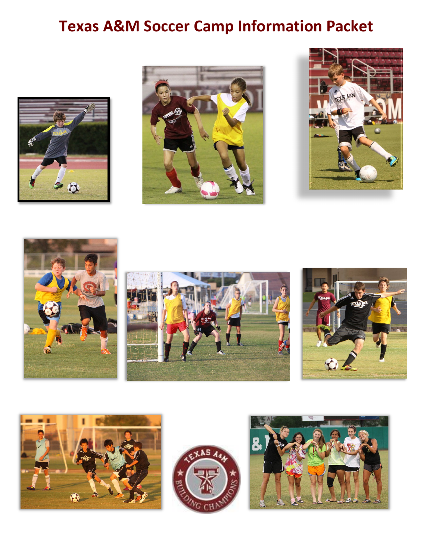# **Texas A&M Soccer Camp Information Packet**













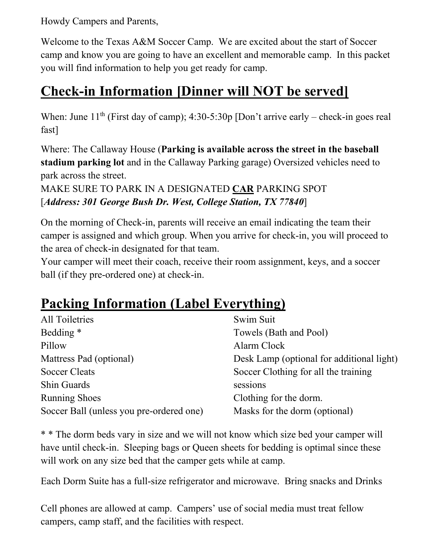Howdy Campers and Parents,

Welcome to the Texas A&M Soccer Camp. We are excited about the start of Soccer camp and know you are going to have an excellent and memorable camp. In this packet you will find information to help you get ready for camp.

## **Check-in Information [Dinner will NOT be served]**

When: June  $11<sup>th</sup>$  (First day of camp); 4:30-5:30p [Don't arrive early – check-in goes real fast]

Where: The Callaway House (**Parking is available across the street in the baseball stadium parking lot** and in the Callaway Parking garage) Oversized vehicles need to park across the street.

MAKE SURE TO PARK IN A DESIGNATED **CAR** PARKING SPOT [*Address: 301 George Bush Dr. West, College Station, TX 77840*]

On the morning of Check-in, parents will receive an email indicating the team their camper is assigned and which group. When you arrive for check-in, you will proceed to the area of check-in designated for that team.

Your camper will meet their coach, receive their room assignment, keys, and a soccer ball (if they pre-ordered one) at check-in.

# **Packing Information (Label Everything)**

| All Toiletries                           | Swim Suit                                 |
|------------------------------------------|-------------------------------------------|
| Bedding *                                | Towels (Bath and Pool)                    |
| Pillow                                   | Alarm Clock                               |
| Mattress Pad (optional)                  | Desk Lamp (optional for additional light) |
| <b>Soccer Cleats</b>                     | Soccer Clothing for all the training      |
| Shin Guards                              | sessions                                  |
| <b>Running Shoes</b>                     | Clothing for the dorm.                    |
| Soccer Ball (unless you pre-ordered one) | Masks for the dorm (optional)             |

\* \* The dorm beds vary in size and we will not know which size bed your camper will have until check-in. Sleeping bags or Queen sheets for bedding is optimal since these will work on any size bed that the camper gets while at camp.

Each Dorm Suite has a full-size refrigerator and microwave. Bring snacks and Drinks

Cell phones are allowed at camp. Campers' use of social media must treat fellow campers, camp staff, and the facilities with respect.